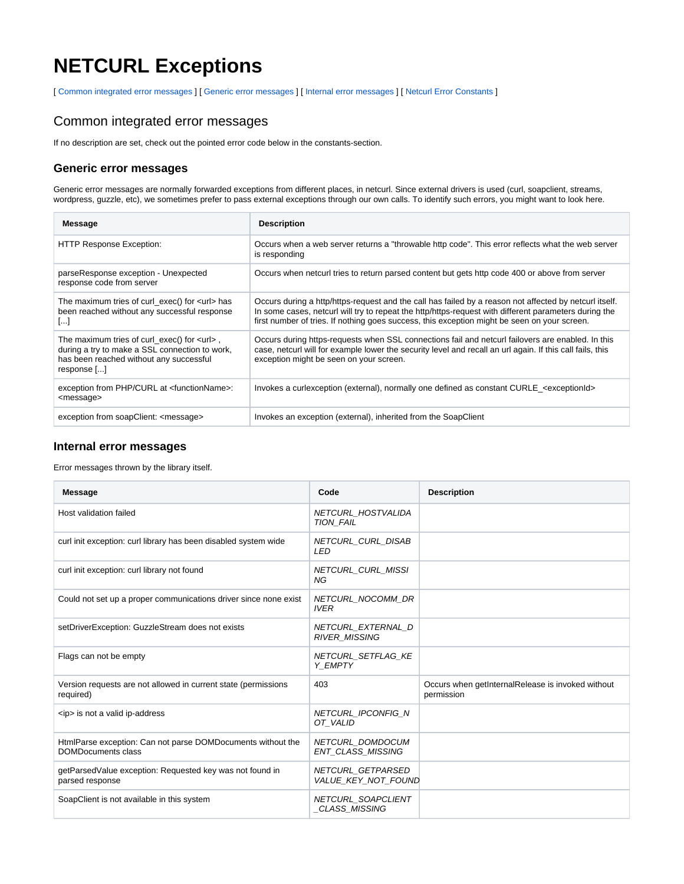# **NETCURL Exceptions**

[ [Common integrated error messages](#page-0-0) ] [ [Generic error messages](#page-0-1) ] [ [Internal error messages](#page-0-2) ] [ [Netcurl Error Constants](#page-1-0) ]

### <span id="page-0-0"></span>Common integrated error messages

If no description are set, check out the pointed error code below in the constants-section.

#### <span id="page-0-1"></span>**Generic error messages**

Generic error messages are normally forwarded exceptions from different places, in netcurl. Since external drivers is used (curl, soapclient, streams, wordpress, guzzle, etc), we sometimes prefer to pass external exceptions through our own calls. To identify such errors, you might want to look here.

| Message                                                                                                                                                        | <b>Description</b>                                                                                                                                                                                                                                                                                              |
|----------------------------------------------------------------------------------------------------------------------------------------------------------------|-----------------------------------------------------------------------------------------------------------------------------------------------------------------------------------------------------------------------------------------------------------------------------------------------------------------|
| <b>HTTP Response Exception:</b>                                                                                                                                | Occurs when a web server returns a "throwable http code". This error reflects what the web server<br>is responding                                                                                                                                                                                              |
| parseResponse exception - Unexpected<br>response code from server                                                                                              | Occurs when netcurl tries to return parsed content but gets http code 400 or above from server                                                                                                                                                                                                                  |
| The maximum tries of curl_exec() for <url> has<br/>been reached without any successful response<br/>ا…ا</url>                                                  | Occurs during a http/https-request and the call has failed by a reason not affected by netcurl itself.<br>In some cases, netcurl will try to repeat the http/https-request with different parameters during the<br>first number of tries. If nothing goes success, this exception might be seen on your screen. |
| The maximum tries of curl_exec() for $\lt u$ rl >,<br>during a try to make a SSL connection to work,<br>has been reached without any successful<br>response [] | Occurs during https-requests when SSL connections fail and netcurl failovers are enabled. In this<br>case, netcurl will for example lower the security level and recall an url again. If this call fails, this<br>exception might be seen on your screen.                                                       |
| exception from PHP/CURL at <functionname>:<br/><message></message></functionname>                                                                              | Invokes a curlexception (external), normally one defined as constant CURLE_ <exceptionid></exceptionid>                                                                                                                                                                                                         |
| exception from soapClient: <message></message>                                                                                                                 | Invokes an exception (external), inherited from the SoapClient                                                                                                                                                                                                                                                  |

#### <span id="page-0-2"></span>**Internal error messages**

Error messages thrown by the library itself.

| <b>Message</b>                                                                           | Code                                         | <b>Description</b>                                              |
|------------------------------------------------------------------------------------------|----------------------------------------------|-----------------------------------------------------------------|
| Host validation failed                                                                   | NETCURL HOSTVALIDA<br>TION FAIL              |                                                                 |
| curl init exception: curl library has been disabled system wide                          | NETCURL CURL DISAB<br><b>LED</b>             |                                                                 |
| curl init exception: curl library not found                                              | <b>NETCURL CURL MISSI</b><br>NG              |                                                                 |
| Could not set up a proper communications driver since none exist                         | <b>NETCURL NOCOMM DR</b><br><b>IVER</b>      |                                                                 |
| setDriverException: GuzzleStream does not exists                                         | NETCURL EXTERNAL D<br>RIVER_MISSING          |                                                                 |
| Flags can not be empty                                                                   | NETCURL SETFLAG KE<br>Y EMPTY                |                                                                 |
| Version requests are not allowed in current state (permissions<br>required)              | 403                                          | Occurs when getInternalRelease is invoked without<br>permission |
| <ip> is not a valid ip-address</ip>                                                      | <b>NETCURL IPCONFIG N</b><br>OT VALID        |                                                                 |
| HtmlParse exception: Can not parse DOMDocuments without the<br><b>DOMDocuments class</b> | NETCURL DOMDOCUM<br><b>ENT CLASS MISSING</b> |                                                                 |
| getParsedValue exception: Requested key was not found in<br>parsed response              | NETCURL GETPARSED<br>VALUE KEY NOT FOUND     |                                                                 |
| SoapClient is not available in this system                                               | NETCURL SOAPCLIENT<br><b>CLASS MISSING</b>   |                                                                 |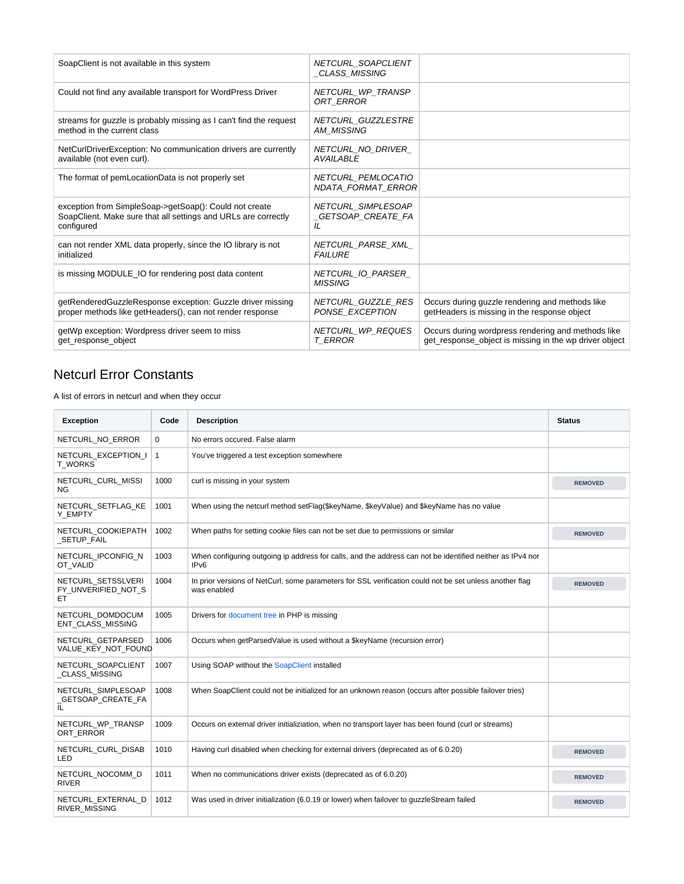| SoapClient is not available in this system                                                                                             | NETCURL SOAPCLIENT<br>_CLASS_MISSING            |                                                                                                              |
|----------------------------------------------------------------------------------------------------------------------------------------|-------------------------------------------------|--------------------------------------------------------------------------------------------------------------|
| Could not find any available transport for WordPress Driver                                                                            | NETCURL_WP_TRANSP<br>ORT ERROR                  |                                                                                                              |
| streams for guzzle is probably missing as I can't find the request<br>method in the current class                                      | NETCURL GUZZLESTRE<br>AM MISSING                |                                                                                                              |
| NetCurlDriverException: No communication drivers are currently<br>available (not even curl).                                           | NETCURL_NO_DRIVER_<br><b>AVAILABLE</b>          |                                                                                                              |
| The format of pemLocationData is not properly set                                                                                      | NETCURL PEMLOCATIO<br><b>NDATA FORMAT ERROR</b> |                                                                                                              |
| exception from SimpleSoap->getSoap(): Could not create<br>SoapClient. Make sure that all settings and URLs are correctly<br>configured | NETCURL_SIMPLESOAP<br>_GETSOAP_CREATE_FA<br>IL  |                                                                                                              |
| can not render XML data properly, since the IO library is not<br>initialized                                                           | NETCURL PARSE XML<br><b>FAILURE</b>             |                                                                                                              |
| is missing MODULE_IO for rendering post data content                                                                                   | NETCURL IO PARSER<br><b>MISSING</b>             |                                                                                                              |
| getRenderedGuzzleResponse exception: Guzzle driver missing<br>proper methods like getHeaders(), can not render response                | NETCURL_GUZZLE_RES<br>PONSE EXCEPTION           | Occurs during guzzle rendering and methods like<br>getHeaders is missing in the response object              |
| getWp exception: Wordpress driver seem to miss<br>get response object                                                                  | NETCURL_WP_REQUES<br>T ERROR                    | Occurs during wordpress rendering and methods like<br>get_response_object is missing in the wp driver object |

## <span id="page-1-0"></span>Netcurl Error Constants

A list of errors in netcurl and when they occur

| <b>Exception</b>                                | Code         | <b>Description</b>                                                                                                            | <b>Status</b>  |
|-------------------------------------------------|--------------|-------------------------------------------------------------------------------------------------------------------------------|----------------|
| NETCURL_NO_ERROR                                | 0            | No errors occured. False alarm                                                                                                |                |
| NETCURL EXCEPTION I<br><b>T WORKS</b>           | $\mathbf{1}$ | You've triggered a test exception somewhere                                                                                   |                |
| NETCURL_CURL_MISSI<br>NG.                       | 1000         | curl is missing in your system                                                                                                | <b>REMOVED</b> |
| NETCURL SETFLAG KE<br>Y_EMPTY                   | 1001         | When using the netcurl method setFlag(\$keyName, \$keyValue) and \$keyName has no value                                       |                |
| NETCURL COOKIEPATH<br>SETUP FAIL                | 1002         | When paths for setting cookie files can not be set due to permissions or similar                                              | <b>REMOVED</b> |
| NETCURL_IPCONFIG_N<br>OT_VALID                  | 1003         | When configuring outgoing ip address for calls, and the address can not be identified neither as IPv4 nor<br>IP <sub>v6</sub> |                |
| NETCURL SETSSLVERI<br>FY_UNVERIFIED_NOT_S<br>EТ | 1004         | In prior versions of NetCurl, some parameters for SSL verification could not be set unless another flag<br>was enabled        | <b>REMOVED</b> |
| NETCURL DOMDOCUM<br>ENT CLASS MISSING           | 1005         | Drivers for document tree in PHP is missing                                                                                   |                |
| NETCURL GETPARSED<br>VALUE KEY NOT FOUND        | 1006         | Occurs when getParsedValue is used without a \$keyName (recursion error)                                                      |                |
| NETCURL SOAPCLIENT<br>_CLASS_MISSING            | 1007         | Using SOAP without the SoapClient installed                                                                                   |                |
| NETCURL SIMPLESOAP<br>_GETSOAP_CREATE_FA<br>IL  | 1008         | When SoapClient could not be initialized for an unknown reason (occurs after possible failover tries)                         |                |
| NETCURL WP TRANSP<br>ORT ERROR                  | 1009         | Occurs on external driver initializiation, when no transport layer has been found (curl or streams)                           |                |
| NETCURL_CURL_DISAB<br>LED                       | 1010         | Having curl disabled when checking for external drivers (deprecated as of 6.0.20)                                             | <b>REMOVED</b> |
| NETCURL_NOCOMM_D<br><b>RIVER</b>                | 1011         | When no communications driver exists (deprecated as of 6.0.20)                                                                | <b>REMOVED</b> |
| NETCURL EXTERNAL D<br>RIVER_MISSING             | 1012         | Was used in driver initialization (6.0.19 or lower) when failover to guzzleStream failed                                      | <b>REMOVED</b> |